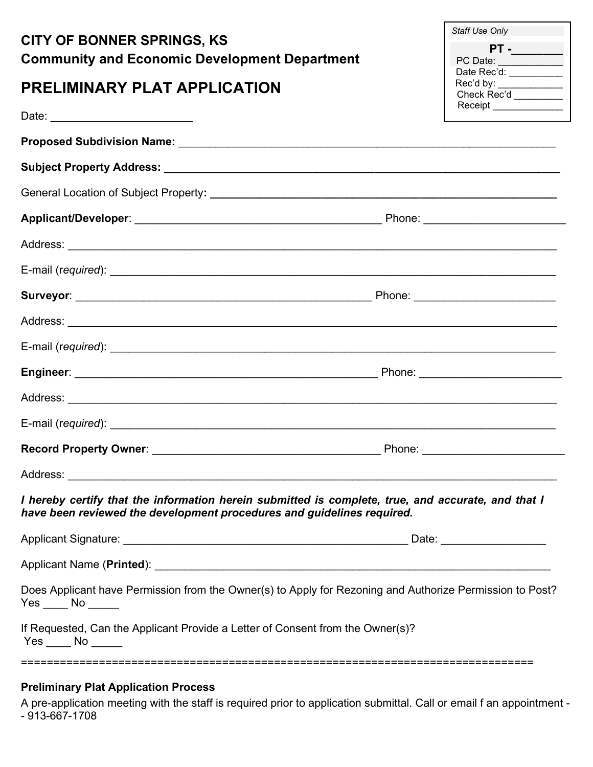| <b>CITY OF BONNER SPRINGS, KS</b><br><b>Community and Economic Development Department</b>                                                                                    | Staff Use Only<br>$PT -$                       |
|------------------------------------------------------------------------------------------------------------------------------------------------------------------------------|------------------------------------------------|
| <b>PRELIMINARY PLAT APPLICATION</b>                                                                                                                                          | Rec'd by: ___________<br>Check Rec'd _________ |
|                                                                                                                                                                              | Receipt ______________                         |
|                                                                                                                                                                              |                                                |
|                                                                                                                                                                              |                                                |
|                                                                                                                                                                              |                                                |
|                                                                                                                                                                              |                                                |
|                                                                                                                                                                              |                                                |
|                                                                                                                                                                              |                                                |
|                                                                                                                                                                              |                                                |
|                                                                                                                                                                              |                                                |
|                                                                                                                                                                              |                                                |
|                                                                                                                                                                              |                                                |
|                                                                                                                                                                              |                                                |
|                                                                                                                                                                              |                                                |
|                                                                                                                                                                              |                                                |
|                                                                                                                                                                              |                                                |
| I hereby certify that the information herein submitted is complete, true, and accurate, and that I<br>have been reviewed the development procedures and guidelines required. |                                                |
|                                                                                                                                                                              |                                                |
|                                                                                                                                                                              |                                                |
| Does Applicant have Permission from the Owner(s) to Apply for Rezoning and Authorize Permission to Post?<br>$Yes \_\_ No \_\_$                                               |                                                |
| If Requested, Can the Applicant Provide a Letter of Consent from the Owner(s)?<br>$Yes$ No $\_\_$                                                                            |                                                |
| :===============================<br><b>Drollminary Plat Application Process</b>                                                                                              |                                                |

## Preliminary Plat Application Process

A pre-application meeting with the staff is required prior to application submittal. Call or email f an appointment - - 913-667-1708